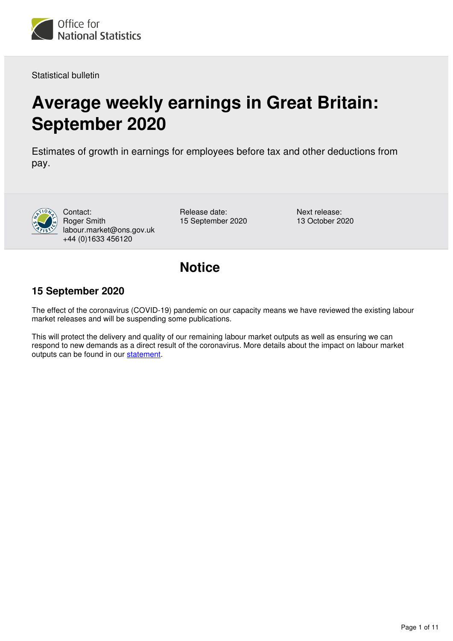

Statistical bulletin

# **Average weekly earnings in Great Britain: September 2020**

Estimates of growth in earnings for employees before tax and other deductions from pay.



Contact: Roger Smith labour.market@ons.gov.uk +44 (0)1633 456120

Release date: 15 September 2020 Next release: 13 October 2020

## **Notice**

### **15 September 2020**

The effect of the coronavirus (COVID-19) pandemic on our capacity means we have reviewed the existing labour market releases and will be suspending some publications.

This will protect the delivery and quality of our remaining labour market outputs as well as ensuring we can respond to new demands as a direct result of the coronavirus. More details about the impact on labour market outputs can be found in our statement.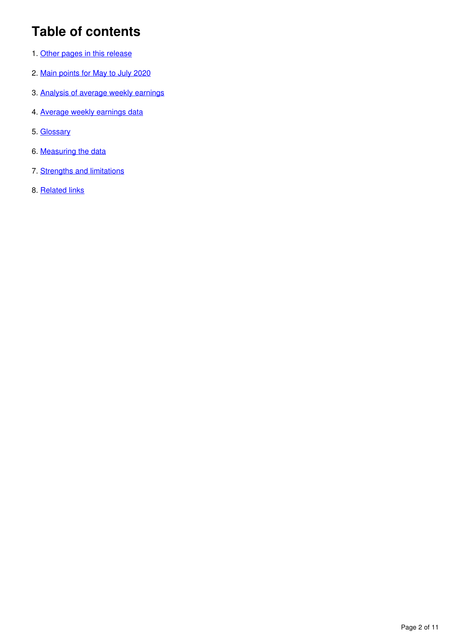# **Table of contents**

- 1. [Other pages in this release](#page-2-0)
- 2. [Main points for May to July 2020](#page-2-1)
- 3. [Analysis of average weekly earnings](#page-3-0)
- 4. [Average weekly earnings data](#page-7-0)
- 5. [Glossary](#page-7-1)
- 6. [Measuring the data](#page-8-0)
- 7. [Strengths and limitations](#page-10-0)
- 8. [Related links](#page-10-1)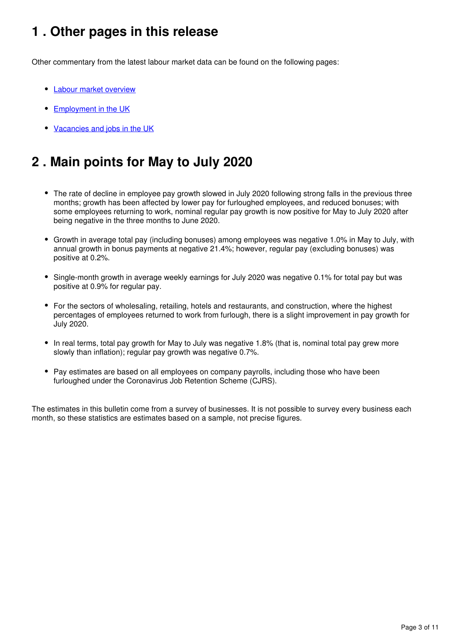## <span id="page-2-0"></span>**1 . Other pages in this release**

Other commentary from the latest labour market data can be found on the following pages:

- [Labour market overview](https://www.ons.gov.uk/employmentandlabourmarket/peopleinwork/employmentandemployeetypes/bulletins/uklabourmarket/september2020)
- **[Employment in the UK](https://www.ons.gov.uk/employmentandlabourmarket/peopleinwork/employmentandemployeetypes/bulletins/employmentintheuk/september2020)**
- [Vacancies and jobs in the UK](https://www.ons.gov.uk/employmentandlabourmarket/peopleinwork/employmentandemployeetypes/bulletins/jobsandvacanciesintheuk/september2020)

# <span id="page-2-1"></span>**2 . Main points for May to July 2020**

- The rate of decline in employee pay growth slowed in July 2020 following strong falls in the previous three months; growth has been affected by lower pay for furloughed employees, and reduced bonuses; with some employees returning to work, nominal regular pay growth is now positive for May to July 2020 after being negative in the three months to June 2020.
- Growth in average total pay (including bonuses) among employees was negative 1.0% in May to July, with annual growth in bonus payments at negative 21.4%; however, regular pay (excluding bonuses) was positive at 0.2%.
- Single-month growth in average weekly earnings for July 2020 was negative 0.1% for total pay but was positive at 0.9% for regular pay.
- For the sectors of wholesaling, retailing, hotels and restaurants, and construction, where the highest percentages of employees returned to work from furlough, there is a slight improvement in pay growth for July 2020.
- In real terms, total pay growth for May to July was negative 1.8% (that is, nominal total pay grew more slowly than inflation); regular pay growth was negative 0.7%.
- Pay estimates are based on all employees on company payrolls, including those who have been furloughed under the Coronavirus Job Retention Scheme (CJRS).

The estimates in this bulletin come from a survey of businesses. It is not possible to survey every business each month, so these statistics are estimates based on a sample, not precise figures.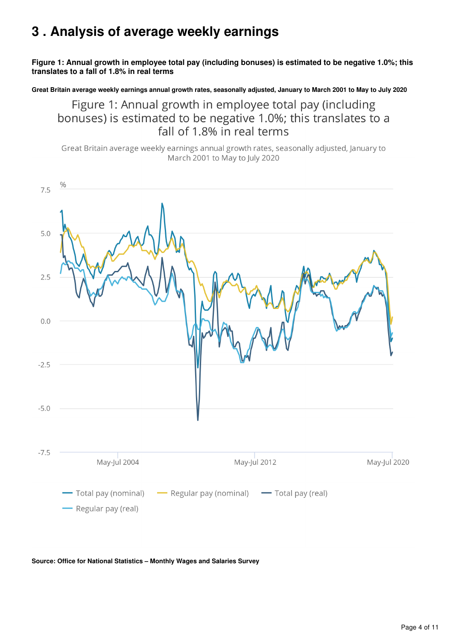## <span id="page-3-0"></span>**3 . Analysis of average weekly earnings**

### **Figure 1: Annual growth in employee total pay (including bonuses) is estimated to be negative 1.0%; this translates to a fall of 1.8% in real terms**

**Great Britain average weekly earnings annual growth rates, seasonally adjusted, January to March 2001 to May to July 2020**

Figure 1: Annual growth in employee total pay (including bonuses) is estimated to be negative 1.0%; this translates to a fall of 1.8% in real terms

Great Britain average weekly earnings annual growth rates, seasonally adjusted, January to March 2001 to May to July 2020



**Source: Office for National Statistics – Monthly Wages and Salaries Survey**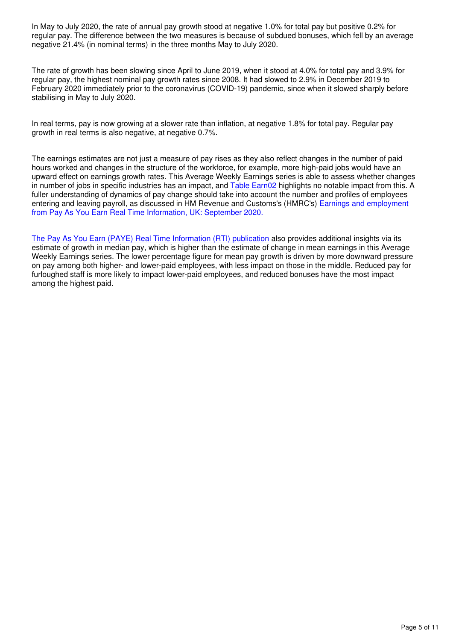In May to July 2020, the rate of annual pay growth stood at negative 1.0% for total pay but positive 0.2% for regular pay. The difference between the two measures is because of subdued bonuses, which fell by an average negative 21.4% (in nominal terms) in the three months May to July 2020.

The rate of growth has been slowing since April to June 2019, when it stood at 4.0% for total pay and 3.9% for regular pay, the highest nominal pay growth rates since 2008. It had slowed to 2.9% in December 2019 to February 2020 immediately prior to the coronavirus (COVID-19) pandemic, since when it slowed sharply before stabilising in May to July 2020.

In real terms, pay is now growing at a slower rate than inflation, at negative 1.8% for total pay. Regular pay growth in real terms is also negative, at negative 0.7%.

The earnings estimates are not just a measure of pay rises as they also reflect changes in the number of paid hours worked and changes in the structure of the workforce, for example, more high-paid jobs would have an upward effect on earnings growth rates. This Average Weekly Earnings series is able to assess whether changes in number of jobs in specific industries has an impact, and [Table Earn02](https://www.ons.gov.uk/employmentandlabourmarket/peopleinwork/earningsandworkinghours/datasets/averageweeklyearningsbysectorearn02) highlights no notable impact from this. A fuller understanding of dynamics of pay change should take into account the number and profiles of employees entering and leaving payroll, as discussed in HM Revenue and Customs's (HMRC's) **Earnings and employment** [from Pay As You Earn Real Time Information, UK: September 2020.](https://www.ons.gov.uk/employmentandlabourmarket/peopleinwork/earningsandworkinghours/bulletins/earningsandemploymentfrompayasyouearnrealtimeinformationuk/september2020)

[The Pay As You Earn \(PAYE\) Real Time Information \(RTI\) publication](https://www.ons.gov.uk/employmentandlabourmarket/peopleinwork/earningsandworkinghours/bulletins/earningsandemploymentfrompayasyouearnrealtimeinformationuk/september2020) also provides additional insights via its estimate of growth in median pay, which is higher than the estimate of change in mean earnings in this Average Weekly Earnings series. The lower percentage figure for mean pay growth is driven by more downward pressure on pay among both higher- and lower-paid employees, with less impact on those in the middle. Reduced pay for furloughed staff is more likely to impact lower-paid employees, and reduced bonuses have the most impact among the highest paid.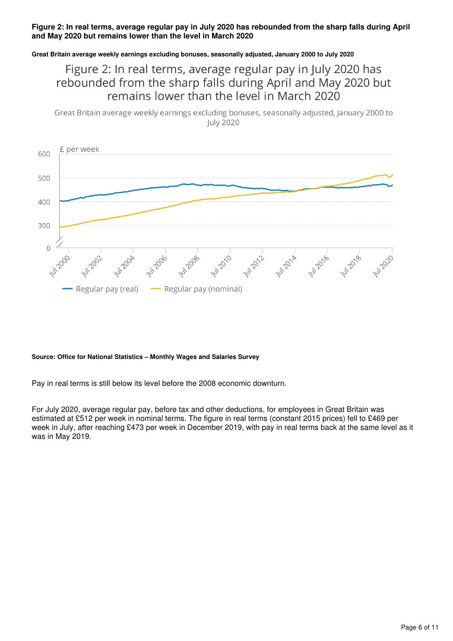#### **Figure 2: In real terms, average regular pay in July 2020 has rebounded from the sharp falls during April and May 2020 but remains lower than the level in March 2020**

### **Great Britain average weekly earnings excluding bonuses, seasonally adjusted, January 2000 to July 2020**

### Figure 2: In real terms, average regular pay in July 2020 has rebounded from the sharp falls during April and May 2020 but remains lower than the level in March 2020

Great Britain average weekly earnings excluding bonuses, seasonally adjusted, January 2000 to **July 2020** 



#### **Source: Office for National Statistics – Monthly Wages and Salaries Survey**

Pay in real terms is still below its level before the 2008 economic downturn.

For July 2020, average regular pay, before tax and other deductions, for employees in Great Britain was estimated at £512 per week in nominal terms. The figure in real terms (constant 2015 prices) fell to £469 per week in July, after reaching £473 per week in December 2019, with pay in real terms back at the same level as it was in May 2019.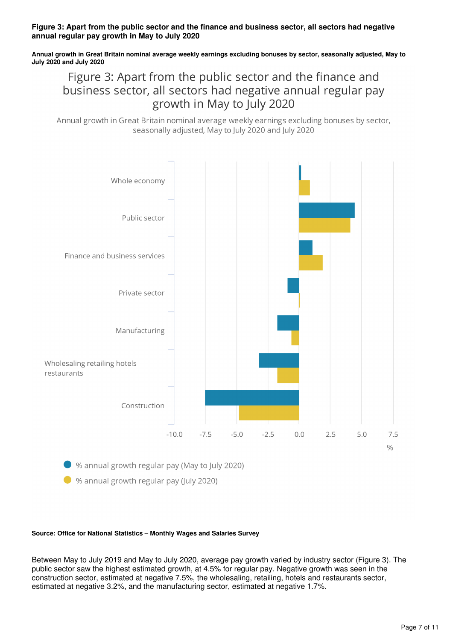#### **Figure 3: Apart from the public sector and the finance and business sector, all sectors had negative annual regular pay growth in May to July 2020**

**Annual growth in Great Britain nominal average weekly earnings excluding bonuses by sector, seasonally adjusted, May to July 2020 and July 2020**

Figure 3: Apart from the public sector and the finance and business sector, all sectors had negative annual regular pay growth in May to July 2020

Annual growth in Great Britain nominal average weekly earnings excluding bonuses by sector, seasonally adjusted. May to July 2020 and July 2020



 $\blacktriangleright$  % annual growth regular pay (July 2020)

#### **Source: Office for National Statistics – Monthly Wages and Salaries Survey**

Between May to July 2019 and May to July 2020, average pay growth varied by industry sector (Figure 3). The public sector saw the highest estimated growth, at 4.5% for regular pay. Negative growth was seen in the construction sector, estimated at negative 7.5%, the wholesaling, retailing, hotels and restaurants sector, estimated at negative 3.2%, and the manufacturing sector, estimated at negative 1.7%.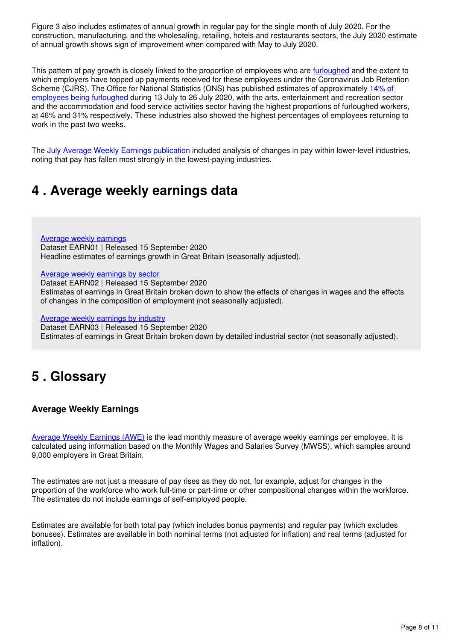Figure 3 also includes estimates of annual growth in regular pay for the single month of July 2020. For the construction, manufacturing, and the wholesaling, retailing, hotels and restaurants sectors, the July 2020 estimate of annual growth shows sign of improvement when compared with May to July 2020.

This pattern of pay growth is closely linked to the proportion of employees who are *[furloughed](https://www.ons.gov.uk/businessindustryandtrade/business/businessservices/bulletins/coronavirusandtheeconomicimpactsontheuk/13august2020)* and the extent to which employers have topped up payments received for these employees under the Coronavirus Job Retention Scheme (CJRS). The Office for National Statistics (ONS) has published estimates of approximately [14% of](https://www.ons.gov.uk/businessindustryandtrade/business/businessservices/bulletins/coronavirusandtheeconomicimpactsontheuk/16july2020#workforce)  [employees being furloughed](https://www.ons.gov.uk/businessindustryandtrade/business/businessservices/bulletins/coronavirusandtheeconomicimpactsontheuk/13august2020#workforce) during 13 July to 26 July 2020, with the arts, entertainment and recreation sector and the accommodation and food service activities sector having the highest proportions of furloughed workers, at 46% and 31% respectively. These industries also showed the highest percentages of employees returning to work in the past two weeks.

The [July Average Weekly Earnings publication](https://www.ons.gov.uk/employmentandlabourmarket/peopleinwork/employmentandemployeetypes/bulletins/averageweeklyearningsingreatbritain/july2020) included analysis of changes in pay within lower-level industries, noting that pay has fallen most strongly in the lowest-paying industries.

## <span id="page-7-0"></span>**4 . Average weekly earnings data**

[Average weekly earnings](https://www.ons.gov.uk/employmentandlabourmarket/peopleinwork/earningsandworkinghours/datasets/averageweeklyearningsearn01) Dataset EARN01 | Released 15 September 2020 Headline estimates of earnings growth in Great Britain (seasonally adjusted).

[Average weekly earnings by sector](https://www.ons.gov.uk/employmentandlabourmarket/peopleinwork/earningsandworkinghours/datasets/averageweeklyearningsbysectorearn02)

Dataset EARN02 | Released 15 September 2020 Estimates of earnings in Great Britain broken down to show the effects of changes in wages and the effects of changes in the composition of employment (not seasonally adjusted).

[Average weekly earnings by industry](https://www.ons.gov.uk/employmentandlabourmarket/peopleinwork/earningsandworkinghours/datasets/averageweeklyearningsbyindustryearn03)

Dataset EARN03 | Released 15 September 2020 Estimates of earnings in Great Britain broken down by detailed industrial sector (not seasonally adjusted).

## <span id="page-7-1"></span>**5 . Glossary**

### **Average Weekly Earnings**

[Average Weekly Earnings \(AWE\)](https://www.ons.gov.uk/employmentandlabourmarket/peopleinwork/employmentandemployeetypes/methodologies/aguidetolabourmarketstatistics#earnings) is the lead monthly measure of average weekly earnings per employee. It is calculated using information based on the Monthly Wages and Salaries Survey (MWSS), which samples around 9,000 employers in Great Britain.

The estimates are not just a measure of pay rises as they do not, for example, adjust for changes in the proportion of the workforce who work full-time or part-time or other compositional changes within the workforce. The estimates do not include earnings of self-employed people.

Estimates are available for both total pay (which includes bonus payments) and regular pay (which excludes bonuses). Estimates are available in both nominal terms (not adjusted for inflation) and real terms (adjusted for inflation).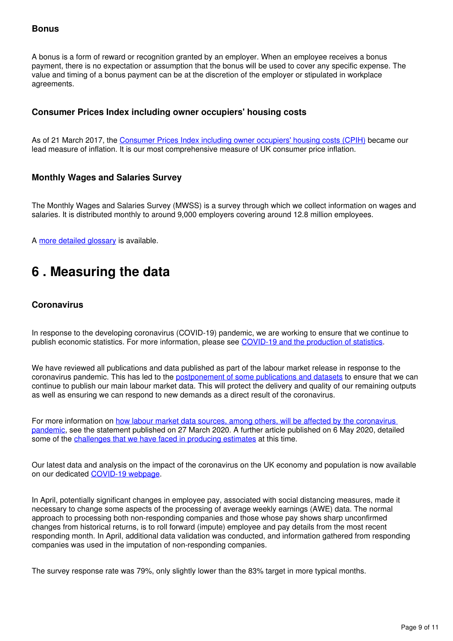### **Bonus**

A bonus is a form of reward or recognition granted by an employer. When an employee receives a bonus payment, there is no expectation or assumption that the bonus will be used to cover any specific expense. The value and timing of a bonus payment can be at the discretion of the employer or stipulated in workplace agreements.

### **Consumer Prices Index including owner occupiers' housing costs**

As of 21 March 2017, the [Consumer Prices Index including owner occupiers' housing costs \(CPIH\)](https://www.ons.gov.uk/economy/inflationandpriceindices/methodologies/consumerpriceinflationincludesall3indicescpihcpiandrpiqmi) became our lead measure of inflation. It is our most comprehensive measure of UK consumer price inflation.

### **Monthly Wages and Salaries Survey**

The Monthly Wages and Salaries Survey (MWSS) is a survey through which we collect information on wages and salaries. It is distributed monthly to around 9,000 employers covering around 12.8 million employees.

Amore detailed glossary is available.

## <span id="page-8-0"></span>**6 . Measuring the data**

### **Coronavirus**

In response to the developing coronavirus (COVID-19) pandemic, we are working to ensure that we continue to publish economic statistics. For more information, please see [COVID-19 and the production of statistics](https://www.ons.gov.uk/news/statementsandletters/covid19andtheproductionofstatistics).

We have reviewed all publications and data published as part of the labour market release in response to the coronavirus pandemic. This has led to the [postponement of some publications and datasets](https://www.ons.gov.uk/news/statementsandletters/coronavirusimpactonlabourmarketoutputs) to ensure that we can continue to publish our main labour market data. This will protect the delivery and quality of our remaining outputs as well as ensuring we can respond to new demands as a direct result of the coronavirus.

For more information on [how labour market data sources, among others, will be affected by the coronavirus](https://www.ons.gov.uk/news/statementsandletters/ensuringthebestpossibleinformationduringcovid19throughsafedatacollection)  [pandemic,](https://www.ons.gov.uk/news/statementsandletters/ensuringthebestpossibleinformationduringcovid19throughsafedatacollection) see the statement published on 27 March 2020. A further article published on 6 May 2020, detailed some of the [challenges that we have faced in producing estimates](https://www.ons.gov.uk/employmentandlabourmarket/peopleinwork/employmentandemployeetypes/articles/coronavirusandtheeffectsonuklabourmarketstatistics/2020-05-06) at this time.

Our latest data and analysis on the impact of the coronavirus on the UK economy and population is now available on our dedicated COVID-19 webpage.

In April, potentially significant changes in employee pay, associated with social distancing measures, made it necessary to change some aspects of the processing of average weekly earnings (AWE) data. The normal approach to processing both non-responding companies and those whose pay shows sharp unconfirmed changes from historical returns, is to roll forward (impute) employee and pay details from the most recent responding month. In April, additional data validation was conducted, and information gathered from responding companies was used in the imputation of non-responding companies.

The survey response rate was 79%, only slightly lower than the 83% target in more typical months.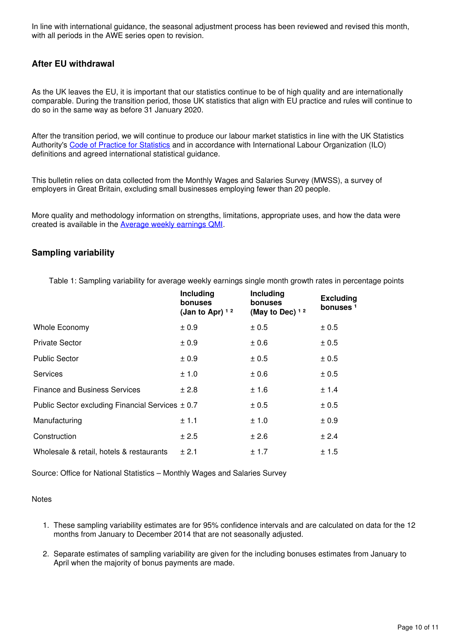In line with international guidance, the seasonal adjustment process has been reviewed and revised this month, with all periods in the AWE series open to revision.

### **After EU withdrawal**

As the UK leaves the EU, it is important that our statistics continue to be of high quality and are internationally comparable. During the transition period, those UK statistics that align with EU practice and rules will continue to do so in the same way as before 31 January 2020.

After the transition period, we will continue to produce our labour market statistics in line with the UK Statistics Authority's[Code of Practice for Statistics](https://code.statisticsauthority.gov.uk/) and in accordance with International Labour Organization (ILO) definitions and agreed international statistical guidance.

This bulletin relies on data collected from the Monthly Wages and Salaries Survey (MWSS), a survey of employers in Great Britain, excluding small businesses employing fewer than 20 people.

More quality and methodology information on strengths, limitations, appropriate uses, and how the data were createdis available in the **Average weekly earnings QMI**.

### **Sampling variability**

Table 1: Sampling variability for average weekly earnings single month growth rates in percentage points

| Including<br><b>bonuses</b><br>(Jan to Apr) $12$ | Including<br>bonuses<br>(May to Dec) $12$ | <b>Excluding</b><br>bonuses <sup>1</sup> |
|--------------------------------------------------|-------------------------------------------|------------------------------------------|
| ± 0.9                                            | ± 0.5                                     | ± 0.5                                    |
| ± 0.9                                            | ± 0.6                                     | ± 0.5                                    |
| ± 0.9                                            | ± 0.5                                     | ± 0.5                                    |
| ± 1.0                                            | $\pm 0.6$                                 | ± 0.5                                    |
| ± 2.8                                            | ±1.6                                      | ± 1.4                                    |
| Public Sector excluding Financial Services ± 0.7 | ± 0.5                                     | ± 0.5                                    |
| ± 1.1                                            | ± 1.0                                     | ± 0.9                                    |
| ± 2.5                                            | ± 2.6                                     | ± 2.4                                    |
| ± 2.1                                            | ± 1.7                                     | ± 1.5                                    |
|                                                  |                                           |                                          |

Source: Office for National Statistics – Monthly Wages and Salaries Survey

#### **Notes**

- 1. These sampling variability estimates are for 95% confidence intervals and are calculated on data for the 12 months from January to December 2014 that are not seasonally adjusted.
- 2. Separate estimates of sampling variability are given for the including bonuses estimates from January to April when the majority of bonus payments are made.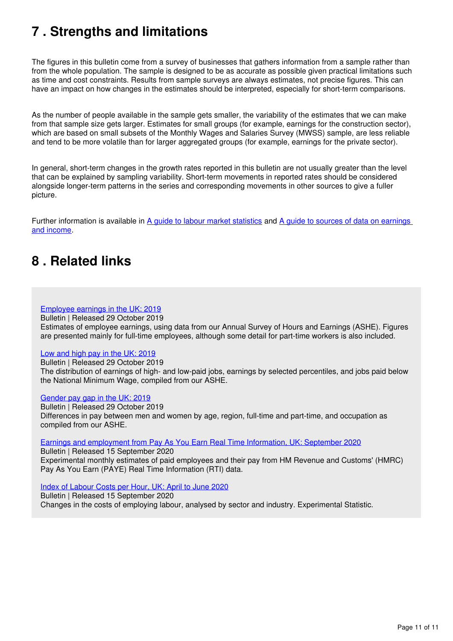# <span id="page-10-0"></span>**7 . Strengths and limitations**

The figures in this bulletin come from a survey of businesses that gathers information from a sample rather than from the whole population. The sample is designed to be as accurate as possible given practical limitations such as time and cost constraints. Results from sample surveys are always estimates, not precise figures. This can have an impact on how changes in the estimates should be interpreted, especially for short-term comparisons.

As the number of people available in the sample gets smaller, the variability of the estimates that we can make from that sample size gets larger. Estimates for small groups (for example, earnings for the construction sector), which are based on small subsets of the Monthly Wages and Salaries Survey (MWSS) sample, are less reliable and tend to be more volatile than for larger aggregated groups (for example, earnings for the private sector).

In general, short-term changes in the growth rates reported in this bulletin are not usually greater than the level that can be explained by sampling variability. Short-term movements in reported rates should be considered alongside longer-term patterns in the series and corresponding movements in other sources to give a fuller picture.

Furtherinformation is available in [A guide to labour market statistics](https://www.ons.gov.uk/employmentandlabourmarket/peopleinwork/employmentandemployeetypes/methodologies/aguidetolabourmarketstatistics) and A guide to sources of data on earnings [and income](https://www.ons.gov.uk/employmentandlabourmarket/peopleinwork/earningsandworkinghours/methodologies/aguidetosourcesofdataonearningsandincome).

### <span id="page-10-1"></span>**8 . Related links**

#### [Employee earnings in the UK: 2019](https://www.ons.gov.uk/employmentandlabourmarket/peopleinwork/earningsandworkinghours/bulletins/annualsurveyofhoursandearnings/2019)

Bulletin | Released 29 October 2019

Estimates of employee earnings, using data from our Annual Survey of Hours and Earnings (ASHE). Figures are presented mainly for full-time employees, although some detail for part-time workers is also included.

#### [Low and high pay in the UK: 2019](https://www.ons.gov.uk/employmentandlabourmarket/peopleinwork/earningsandworkinghours/bulletins/lowandhighpayuk/2019)

Bulletin | Released 29 October 2019 The distribution of earnings of high- and low-paid jobs, earnings by selected percentiles, and jobs paid below the National Minimum Wage, compiled from our ASHE.

#### [Gender pay gap in the UK: 2019](https://www.ons.gov.uk/employmentandlabourmarket/peopleinwork/earningsandworkinghours/bulletins/genderpaygapintheuk/2019)

Bulletin | Released 29 October 2019 Differences in pay between men and women by age, region, full-time and part-time, and occupation as compiled from our ASHE.

[Earnings and employment from Pay As You Earn Real Time Information, UK: September 2020](https://www.ons.gov.uk/employmentandlabourmarket/peopleinwork/earningsandworkinghours/bulletins/earningsandemploymentfrompayasyouearnrealtimeinformationuk/September2020)

Bulletin | Released 15 September 2020 Experimental monthly estimates of paid employees and their pay from HM Revenue and Customs' (HMRC) Pay As You Earn (PAYE) Real Time Information (RTI) data.

### [Index of Labour Costs per Hour, UK: April to June 2020](https://www.ons.gov.uk/employmentandlabourmarket/peopleinwork/earningsandworkinghours/bulletins/indexoflabourcostsperhourilch/apriltojune2020)

Bulletin | Released 15 September 2020 Changes in the costs of employing labour, analysed by sector and industry. Experimental Statistic.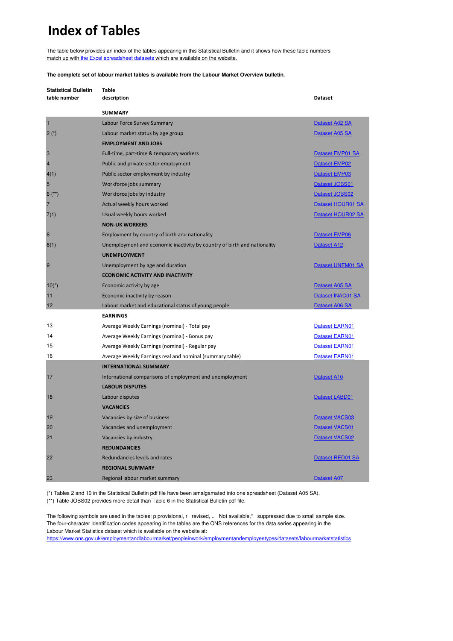## **Index of Tables**

The table below provides an index of the tables appearing in this Statistical Bulletin and it shows how these table numbers [match up with the Excel spreadsheet datasets which are available on the website.](https://www.ons.gov.uk/employmentandlabourmarket/peopleinwork/employmentandemployeetypes/bulletins/uklabourmarket/june2019/relateddata)

**The complete set of labour market tables is available from the Labour Market Overview bulletin.**

| <b>Statistical Bulletin</b><br>table number | <b>Table</b><br>description                                              | Dataset              |
|---------------------------------------------|--------------------------------------------------------------------------|----------------------|
|                                             | <b>SUMMARY</b>                                                           |                      |
| $\mathbf{1}$                                | Labour Force Survey Summary                                              | Dataset A02 SA       |
| $2(*)$                                      | Labour market status by age group                                        | Dataset A05 SA       |
|                                             | <b>EMPLOYMENT AND JOBS</b>                                               |                      |
| 3                                           | Full-time, part-time & temporary workers                                 | Dataset EMP01 SA     |
| $\overline{4}$                              | Public and private sector employment                                     | <b>Dataset EMP02</b> |
| 4(1)                                        | Public sector employment by industry                                     | Dataset EMP03        |
| 5                                           | Workforce jobs summary                                                   | Dataset JOBS01       |
| $6$ (**)                                    | Workforce jobs by industry                                               | Dataset JOBS02       |
| 7                                           | Actual weekly hours worked                                               | Dataset HOUR01 SA    |
| 7(1)                                        | Usual weekly hours worked                                                | Dataset HOUR02 SA    |
|                                             | <b>NON-UK WORKERS</b>                                                    |                      |
| 8                                           | Employment by country of birth and nationality                           | Dataset EMP06        |
| 8(1)                                        | Unemployment and economic inactivity by country of birth and nationality | Dataset A12          |
|                                             | <b>UNEMPLOYMENT</b>                                                      |                      |
| 9                                           | Unemployment by age and duration                                         | Dataset UNEM01 SA    |
|                                             | <b>ECONOMIC ACTIVITY AND INACTIVITY</b>                                  |                      |
| $10(*)$                                     | Economic activity by age                                                 | Dataset A05 SA       |
| 11                                          | Economic inactivity by reason                                            | Dataset INAC01 SA    |
| 12                                          | Labour market and educational status of young people                     | Dataset A06 SA       |
|                                             | <b>EARNINGS</b>                                                          |                      |
| 13                                          | Average Weekly Earnings (nominal) - Total pay                            | Dataset EARN01       |
| 14                                          | Average Weekly Earnings (nominal) - Bonus pay                            | Dataset EARN01       |
| 15                                          | Average Weekly Earnings (nominal) - Regular pay                          | Dataset EARN01       |
| 16                                          | Average Weekly Earnings real and nominal (summary table)                 | Dataset EARN01       |
|                                             | <b>INTERNATIONAL SUMMARY</b>                                             |                      |
| 17                                          | International comparisons of employment and unemployment                 | Dataset A10          |
|                                             | <b>LABOUR DISPUTES</b>                                                   |                      |
| 18                                          | Labour disputes                                                          | Dataset LABD01       |
|                                             | <b>VACANCIES</b>                                                         |                      |
| 19                                          | Vacancies by size of business                                            | Dataset VACS03       |
| 20                                          | Vacancies and unemployment                                               | Dataset VACS01       |
| 21                                          | Vacancies by industry                                                    | Dataset VACS02       |
|                                             | <b>REDUNDANCIES</b>                                                      |                      |
| 22                                          | Redundancies levels and rates                                            | Dataset RED01 SA     |
|                                             | <b>REGIONAL SUMMARY</b>                                                  |                      |
| 23                                          | Regional labour market summary                                           | <b>Dataset A07</b>   |

(\*) Tables 2 and 10 in the Statistical Bulletin pdf file have been amalgamated into one spreadsheet (Dataset A05 SA). (\*\*) Table JOBS02 provides more detail than Table 6 in the Statistical Bulletin pdf file.

The following symbols are used in the tables: p provisional, r revised, .. Not available,\* suppressed due to small sample size. The four-character identification codes appearing in the tables are the ONS references for the data series appearing in the Labour Market Statistics dataset which is available on the website at:

https://www.ons.gov.uk/employmentandlabourmarket/peopleinwork/employmentandemployeetypes/datasets/labourmarketstatistics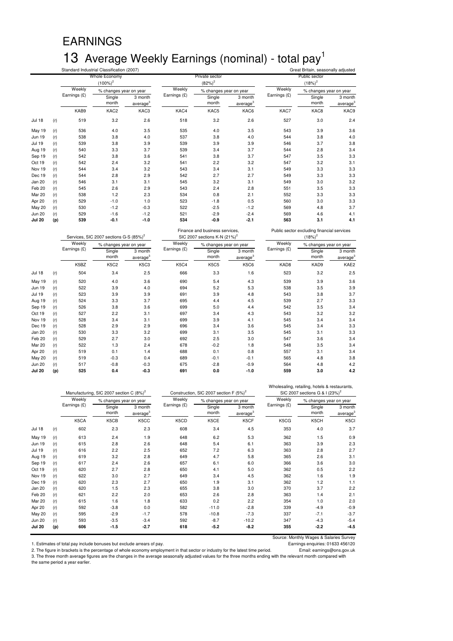# EARNINGS 13 Average Weekly Earnings (nominal) - total pay<sup>1</sup>

|               |     |              | Standard Industrial Classification (2007) |                                 |              |                             | Great Britain, seasonally adjusted |              |                            |                                 |  |
|---------------|-----|--------------|-------------------------------------------|---------------------------------|--------------|-----------------------------|------------------------------------|--------------|----------------------------|---------------------------------|--|
|               |     |              | Whole Economy<br>$(100\%)^2$              |                                 |              | Private sector<br>$(82%)^2$ |                                    |              | Public sector<br>$(18%)^2$ |                                 |  |
|               |     | Weekly       | % changes year on year                    |                                 | Weekly       | % changes year on year      |                                    | Weekly       | % changes year on year     |                                 |  |
|               |     | Earnings (£) | Single<br>month                           | 3 month<br>average <sup>3</sup> | Earnings (£) | Single<br>month             | 3 month<br>average <sup>3</sup>    | Earnings (£) | Single<br>month            | 3 month<br>average <sup>3</sup> |  |
|               |     | KAB9         | KAC2                                      | KAC3                            | KAC4         | KAC5                        | KAC6                               | KAC7         | KAC8                       | KAC9                            |  |
| <b>Jul 18</b> | (r) | 519          | 3.2                                       | 2.6                             | 518          | 3.2                         | 2.6                                | 527          | 3.0                        | 2.4                             |  |
| May 19        | (r) | 536          | 4.0                                       | 3.5                             | 535          | 4.0                         | 3.5                                | 543          | 3.9                        | 3.6                             |  |
| <b>Jun 19</b> | (r) | 538          | 3.8                                       | 4.0                             | 537          | 3.8                         | 4.0                                | 544          | 3.8                        | 4.0                             |  |
| <b>Jul 19</b> | (r) | 539          | 3.8                                       | 3.9                             | 539          | 3.9                         | 3.9                                | 546          | 3.7                        | 3.8                             |  |
| Aug 19        | (r) | 540          | 3.3                                       | 3.7                             | 539          | 3.4                         | 3.7                                | 544          | 2.8                        | 3.4                             |  |
| Sep 19        | (r) | 542          | 3.8                                       | 3.6                             | 541          | 3.8                         | 3.7                                | 547          | 3.5                        | 3.3                             |  |
| Oct 19        | (r) | 542          | 2.4                                       | 3.2                             | 541          | 2.2                         | 3.2                                | 547          | 3.2                        | 3.1                             |  |
| Nov 19        | (r) | 544          | 3.4                                       | 3.2                             | 543          | 3.4                         | 3.1                                | 549          | 3.3                        | 3.3                             |  |
| Dec 19        | (r) | 544          | 2.8                                       | 2.9                             | 542          | 2.7                         | 2.7                                | 549          | 3.3                        | 3.3                             |  |
| Jan 20        | (r) | 546          | 3.1                                       | 3.1                             | 545          | 3.2                         | 3.1                                | 549          | 3.0                        | 3.2                             |  |
| Feb 20        | (r) | 545          | 2.6                                       | 2.9                             | 543          | 2.4                         | 2.8                                | 551          | 3.5                        | 3.3                             |  |
| Mar 20        | (r) | 538          | 1.2                                       | 2.3                             | 534          | 0.8                         | 2.1                                | 552          | 3.3                        | 3.3                             |  |
| Apr 20        | (r) | 529          | $-1.0$                                    | 1.0                             | 523          | $-1.8$                      | 0.5                                | 560          | 3.0                        | 3.3                             |  |
| <b>May 20</b> | (r) | 530          | $-1.2$                                    | $-0.3$                          | 522          | $-2.5$                      | $-1.2$                             | 569          | 4.8                        | 3.7                             |  |
| <b>Jun 20</b> | (r) | 529          | $-1.6$                                    | $-1.2$                          | 521          | $-2.9$                      | $-2.4$                             | 569          | 4.6                        | 4.1                             |  |
| <b>Jul 20</b> | (p) | 539          | $-0.1$                                    | $-1.0$                          | 534          | $-0.9$                      | $-2.1$                             | 563          | 3.1                        | 4.1                             |  |

|               |     |              | Services, SIC 2007 sections G-S (85%) <sup>2</sup> |                                 |              | Finance and business services,<br>SIC 2007 sections K-N $(21\%)^2$ |                                 | Public sector excluding financial services<br>$(18%)^2$ |                        |                                 |
|---------------|-----|--------------|----------------------------------------------------|---------------------------------|--------------|--------------------------------------------------------------------|---------------------------------|---------------------------------------------------------|------------------------|---------------------------------|
|               |     | Weekly       | % changes year on year                             |                                 | Weekly       | % changes year on year                                             |                                 | Weekly                                                  | % changes year on year |                                 |
|               |     | Earnings (£) | Single<br>month                                    | 3 month<br>average <sup>3</sup> | Earnings (£) | Single<br>month                                                    | 3 month<br>average <sup>3</sup> | Earnings (£)                                            | Single<br>month        | 3 month<br>average <sup>3</sup> |
|               |     | K5BZ         | K5C2                                               | K5C3                            | K5C4         | <b>K5C5</b>                                                        | K5C6                            | KAD8                                                    | KAD9                   | KAE2                            |
| <b>Jul 18</b> | (r) | 504          | 3.4                                                | 2.5                             | 666          | 3.3                                                                | 1.6                             | 523                                                     | 3.2                    | 2.5                             |
| May 19        | (r) | 520          | 4.0                                                | 3.6                             | 690          | 5.4                                                                | 4.3                             | 539                                                     | 3.9                    | 3.6                             |
| <b>Jun 19</b> | (r) | 522          | 3.9                                                | 4.0                             | 694          | 5.2                                                                | 5.3                             | 538                                                     | 3.5                    | 3.9                             |
| <b>Jul 19</b> | (r) | 523          | 3.9                                                | 3.9                             | 691          | 3.9                                                                | 4.8                             | 543                                                     | 3.8                    | 3.7                             |
| Aug 19        | (r) | 524          | 3.3                                                | 3.7                             | 695          | 4.4                                                                | 4.5                             | 539                                                     | 2.7                    | 3.3                             |
| Sep 19        | (r) | 526          | 3.8                                                | 3.6                             | 699          | 5.0                                                                | 4.4                             | 542                                                     | 3.5                    | 3.4                             |
| Oct 19        | (r) | 527          | 2.2                                                | 3.1                             | 697          | 3.4                                                                | 4.3                             | 543                                                     | 3.2                    | 3.2                             |
| Nov 19        | (r) | 528          | 3.4                                                | 3.1                             | 699          | 3.9                                                                | 4.1                             | 545                                                     | 3.4                    | 3.4                             |
| Dec 19        | (r) | 528          | 2.9                                                | 2.9                             | 696          | 3.4                                                                | 3.6                             | 545                                                     | 3.4                    | 3.3                             |
| Jan 20        | (r) | 530          | 3.3                                                | 3.2                             | 699          | 3.1                                                                | 3.5                             | 545                                                     | 3.1                    | 3.3                             |
| Feb 20        | (r) | 529          | 2.7                                                | 3.0                             | 692          | 2.5                                                                | 3.0                             | 547                                                     | 3.6                    | 3.4                             |
| <b>Mar 20</b> | (r) | 522          | 1.3                                                | 2.4                             | 678          | $-0.2$                                                             | 1.8                             | 548                                                     | 3.5                    | 3.4                             |
| Apr 20        | (r) | 519          | 0.1                                                | 1.4                             | 688          | 0.1                                                                | 0.8                             | 557                                                     | 3.1                    | 3.4                             |
| <b>May 20</b> | (r) | 519          | $-0.3$                                             | 0.4                             | 689          | $-0.1$                                                             | $-0.1$                          | 565                                                     | 4.8                    | 3.8                             |
| <b>Jun 20</b> | (r) | 517          | $-0.8$                                             | $-0.3$                          | 675          | $-2.8$                                                             | $-0.9$                          | 564                                                     | 4.8                    | 4.2                             |
| <b>Jul 20</b> | (p) | 525          | 0.4                                                | $-0.3$                          | 691          | 0.0                                                                | $-1.0$                          | 559                                                     | 3.0                    | 4.2                             |

|               |     |              | Manufacturing, SIC 2007 section C (8%) <sup>2</sup> |                                 |              | Construction, SIC 2007 section F (5%) <sup>2</sup> |                                 | Wholesaling, retailing, hotels & restaurants,<br>SIC 2007 sections G & I (23%) <sup>2</sup> |                        |                                 |
|---------------|-----|--------------|-----------------------------------------------------|---------------------------------|--------------|----------------------------------------------------|---------------------------------|---------------------------------------------------------------------------------------------|------------------------|---------------------------------|
|               |     | Weekly       | % changes year on year                              |                                 | Weekly       | % changes year on year                             |                                 | Weekly                                                                                      | % changes year on year |                                 |
|               |     | Earnings (£) | Single<br>month                                     | 3 month<br>average <sup>3</sup> | Earnings (£) | Single<br>month                                    | 3 month<br>average <sup>3</sup> | Earnings (£)                                                                                | Single<br>month        | 3 month<br>average <sup>3</sup> |
|               |     | K5CA         | K5CB                                                | K5CC                            | K5CD         | K5CE                                               | K5CF                            | K5CG                                                                                        | K5CH                   | K5CI                            |
| <b>Jul 18</b> | (r) | 602          | 2.3                                                 | 2.3                             | 608          | 3.4                                                | 4.5                             | 353                                                                                         | 4.0                    | 3.7                             |
| May 19        | (r) | 613          | 2.4                                                 | 1.9                             | 648          | 6.2                                                | 5.3                             | 362                                                                                         | 1.5                    | 0.9                             |
| <b>Jun 19</b> | (r) | 615          | 2.8                                                 | 2.6                             | 648          | 5.4                                                | 6.1                             | 363                                                                                         | 3.9                    | 2.3                             |
| <b>Jul 19</b> | (r) | 616          | 2.2                                                 | 2.5                             | 652          | 7.2                                                | 6.3                             | 363                                                                                         | 2.8                    | 2.7                             |
| Aug 19        | (r) | 619          | 3.2                                                 | 2.8                             | 649          | 4.7                                                | 5.8                             | 365                                                                                         | 2.6                    | 3.1                             |
| Sep 19        | (r) | 617          | 2.4                                                 | 2.6                             | 657          | 6.1                                                | 6.0                             | 366                                                                                         | 3.6                    | 3.0                             |
| Oct 19        | (r) | 620          | 2.7                                                 | 2.8                             | 650          | 4.1                                                | 5.0                             | 362                                                                                         | 0.5                    | 2.2                             |
| Nov 19        | (r) | 622          | 3.0                                                 | 2.7                             | 649          | 3.4                                                | 4.5                             | 362                                                                                         | 1.6                    | 1.9                             |
| Dec 19        | (r) | 620          | 2.3                                                 | 2.7                             | 650          | 1.9                                                | 3.1                             | 362                                                                                         | 1.2                    | 1.1                             |
| Jan 20        | (r) | 620          | 1.5                                                 | 2.3                             | 655          | 3.8                                                | 3.0                             | 370                                                                                         | 3.7                    | 2.2                             |
| Feb 20        | (r) | 621          | 2.2                                                 | 2.0                             | 653          | 2.6                                                | 2.8                             | 363                                                                                         | 1.4                    | 2.1                             |
| Mar 20        | (r) | 615          | 1.6                                                 | 1.8                             | 633          | 0.2                                                | 2.2                             | 354                                                                                         | 1.0                    | 2.0                             |
| Apr 20        | (r) | 592          | $-3.8$                                              | 0.0                             | 582          | $-11.0$                                            | $-2.8$                          | 339                                                                                         | $-4.9$                 | $-0.9$                          |
| <b>May 20</b> | (r) | 595          | $-2.9$                                              | $-1.7$                          | 578          | $-10.8$                                            | $-7.3$                          | 337                                                                                         | $-7.1$                 | $-3.7$                          |
| <b>Jun 20</b> | (r) | 593          | $-3.5$                                              | $-3.4$                          | 592          | $-8.7$                                             | $-10.2$                         | 347                                                                                         | $-4.3$                 | $-5.4$                          |
| <b>Jul 20</b> | (p) | 606          | $-1.5$                                              | $-2.7$                          | 618          | $-5.2$                                             | $-8.2$                          | 355                                                                                         | $-2.2$                 | $-4.5$                          |

1. Estimates of total pay include bonuses but exclude arrears of pay.

Source: Monthly Wages & Salaries Survey<br>Earnings enquiries: 01633 456120

2. The figure in brackets is the percentage of whole economy employment in that sector or industry for the latest time period. Email: earnings@ons.gov.uk<br>3. The three month average figures the same period a year earlier.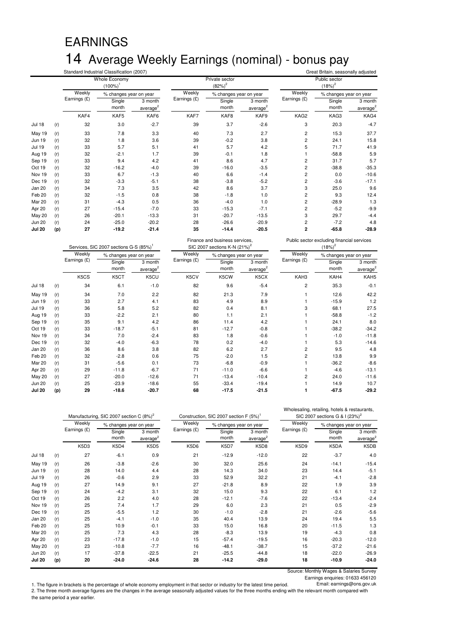# EARNINGS 14 Average Weekly Earnings (nominal) - bonus pay

|               |     |              | Standard Industrial Classification (2007) |                                 |              |                             | Great Britain, seasonally adjusted |                |                            |                                 |  |
|---------------|-----|--------------|-------------------------------------------|---------------------------------|--------------|-----------------------------|------------------------------------|----------------|----------------------------|---------------------------------|--|
|               |     |              | Whole Economy<br>$(100\%)$                |                                 |              | Private sector<br>$(82%)^2$ |                                    |                | Public sector<br>$(18%)^2$ |                                 |  |
|               |     | Weekly       | % changes year on year                    |                                 | Weekly       | % changes year on year      |                                    | Weekly         | % changes year on year     |                                 |  |
|               |     | Earnings (£) | Single<br>month                           | 3 month<br>average <sup>2</sup> | Earnings (£) | Single<br>month             | 3 month<br>average <sup>2</sup>    | Earnings (£)   | Single<br>month            | 3 month<br>average <sup>2</sup> |  |
|               |     | KAF4         | KAF5                                      | KAF6                            | KAF7         | KAF8                        | KAF9                               | KAG2           | KAG3                       | KAG4                            |  |
| <b>Jul 18</b> | (r) | 32           | 3.0                                       | $-2.7$                          | 39           | 3.7                         | $-2.6$                             | 3              | 20.3                       | $-4.7$                          |  |
| <b>May 19</b> | (r) | 33           | 7.8                                       | 3.3                             | 40           | 7.3                         | 2.7                                | $\overline{c}$ | 15.3                       | 37.7                            |  |
| <b>Jun 19</b> | (r) | 32           | 1.8                                       | 3.6                             | 39           | $-0.2$                      | 3.8                                | 2              | 24.1                       | 15.8                            |  |
| <b>Jul 19</b> | (r) | 33           | 5.7                                       | 5.1                             | 41           | 5.7                         | 4.2                                | 5              | 71.7                       | 41.9                            |  |
| Aug 19        | (r) | 32           | $-2.1$                                    | 1.7                             | 39           | $-0.1$                      | 1.8                                |                | $-58.8$                    | 5.9                             |  |
| Sep 19        | (r) | 33           | 9.4                                       | 4.2                             | 41           | 8.6                         | 4.7                                | 2              | 31.7                       | 5.7                             |  |
| Oct 19        | (r) | 32           | $-16.2$                                   | $-4.0$                          | 39           | $-16.0$                     | $-3.5$                             | 2              | $-38.8$                    | $-35.3$                         |  |
| Nov 19        | (r) | 33           | 6.7                                       | $-1.3$                          | 40           | 6.6                         | $-1.4$                             | 2              | 0.0                        | $-10.6$                         |  |
| Dec 19        | (r) | 32           | $-3.3$                                    | $-5.1$                          | 38           | $-3.8$                      | $-5.2$                             | 2              | $-3.6$                     | $-17.1$                         |  |
| Jan 20        | (r) | 34           | 7.3                                       | 3.5                             | 42           | 8.6                         | 3.7                                | 3              | 25.0                       | 9.6                             |  |
| Feb 20        | (r) | 32           | $-1.5$                                    | 0.8                             | 38           | $-1.8$                      | 1.0                                | 2              | 9.3                        | 12.4                            |  |
| Mar 20        | (r) | 31           | $-4.3$                                    | 0.5                             | 36           | $-4.0$                      | 1.0                                | 2              | $-28.9$                    | 1.3                             |  |
| Apr 20        | (r) | 27           | $-15.4$                                   | $-7.0$                          | 33           | $-15.3$                     | $-7.1$                             | 2              | $-5.2$                     | $-9.9$                          |  |
| <b>May 20</b> | (r) | 26           | $-20.1$                                   | $-13.3$                         | 31           | $-20.7$                     | $-13.5$                            | 3              | 29.7                       | $-4.4$                          |  |
| <b>Jun 20</b> | (r) | 24           | $-25.0$                                   | $-20.2$                         | 28           | $-26.6$                     | $-20.9$                            | 2              | $-7.2$                     | 4.8                             |  |
| <b>Jul 20</b> | (p) | 27           | $-19.2$                                   | $-21.4$                         | 35           | $-14.4$                     | $-20.5$                            | 2              | $-65.8$                    | $-28.9$                         |  |

#### Public sector excluding financial services  $(18\%)^2$

|               |     |              | Services, SIC 2007 sections G-S (85%) <sup>1</sup> |                    |              | SIC 2007 sections K-N $(21\%)^2$ |                    |                | $(18%)^2$              |                    |  |
|---------------|-----|--------------|----------------------------------------------------|--------------------|--------------|----------------------------------|--------------------|----------------|------------------------|--------------------|--|
|               |     | Weekly       | % changes year on year                             |                    | Weekly       | % changes year on year           |                    | Weekly         | % changes year on year |                    |  |
|               |     | Earnings (£) | Single<br>month                                    | 3 month<br>average | Earnings (£) | Single<br>month                  | 3 month<br>average | Earnings (£)   | Single<br>month        | 3 month<br>average |  |
|               |     | K5CS         | K5CT                                               | K5CU               | K5CV         | K5CW                             | K5CX               | KAH3           | KAH4                   | KAH5               |  |
| <b>Jul 18</b> | (r) | 34           | 6.1                                                | $-1.0$             | 82           | 9.6                              | $-5.4$             | $\overline{2}$ | 35.3                   | $-0.1$             |  |
| May 19        | (r) | 34           | 7.0                                                | 2.2                | 82           | 21.3                             | 7.9                |                | 12.6                   | 42.2               |  |
| <b>Jun 19</b> | (r) | 33           | 2.7                                                | 4.1                | 83           | 4.9                              | 8.9                |                | $-15.9$                | 1.2                |  |
| <b>Jul 19</b> | (r) | 36           | 5.8                                                | 5.2                | 82           | 0.4                              | 8.1                | 3              | 68.1                   | 27.5               |  |
| Aug 19        | (r) | 33           | $-2.2$                                             | 2.1                | 80           | 1.1                              | 2.1                |                | $-58.8$                | $-1.2$             |  |
| Sep 19        | (r) | 35           | 9.1                                                | 4.2                | 86           | 11.4                             | 4.2                |                | 24.1                   | 8.0                |  |
| Oct 19        | (r) | 33           | $-18.7$                                            | $-5.1$             | 81           | $-12.7$                          | $-0.8$             |                | $-38.2$                | $-34.2$            |  |
| Nov 19        | (r) | 34           | 7.0                                                | $-2.4$             | 83           | 1.8                              | $-0.6$             |                | $-1.0$                 | $-11.8$            |  |
| Dec 19        | (r) | 32           | $-4.0$                                             | $-6.3$             | 78           | 0.2                              | $-4.0$             |                | 5.3                    | $-14.6$            |  |
| Jan 20        | (r) | 36           | 8.6                                                | 3.8                | 82           | 6.2                              | 2.7                | 2              | 9.5                    | 4.8                |  |
| Feb 20        | (r) | 32           | $-2.8$                                             | 0.6                | 75           | $-2.0$                           | 1.5                | 2              | 13.8                   | 9.9                |  |
| Mar 20        | (r) | 31           | $-5.6$                                             | 0.1                | 73           | $-6.8$                           | $-0.9$             |                | $-36.2$                | $-8.6$             |  |
| Apr 20        | (r) | 29           | $-11.8$                                            | $-6.7$             | 71           | $-11.0$                          | $-6.6$             |                | $-4.6$                 | $-13.1$            |  |
| <b>May 20</b> | (r) | 27           | $-20.0$                                            | $-12.6$            | 71           | $-13.4$                          | $-10.4$            | 2              | 24.0                   | $-11.6$            |  |
| <b>Jun 20</b> | (r) | 25           | $-23.9$                                            | $-18.6$            | 55           | $-33.4$                          | $-19.4$            |                | 14.9                   | 10.7               |  |
| <b>Jul 20</b> | (p) | 29           | $-18.6$                                            | $-20.7$            | 68           | $-17.5$                          | $-21.5$            |                | $-67.5$                | $-29.2$            |  |

Finance and business services,

|        |     |              | Manufacturing, SIC 2007 section C (8%) <sup>2</sup> |                                 |              | Construction, SIC 2007 section F (5%) |                    | Wholesaling, retailing, hotels & restaurants,<br>SIC 2007 sections G & I (23%) <sup>2</sup> |                        |                                 |
|--------|-----|--------------|-----------------------------------------------------|---------------------------------|--------------|---------------------------------------|--------------------|---------------------------------------------------------------------------------------------|------------------------|---------------------------------|
|        |     | Weekly       | % changes year on year                              |                                 | Weekly       | % changes year on year                |                    | Weekly                                                                                      | % changes year on year |                                 |
|        |     | Earnings (£) | Single<br>month                                     | 3 month<br>average <sup>2</sup> | Earnings (£) | Single<br>month                       | 3 month<br>average | Earnings (£)                                                                                | Single<br>month        | 3 month<br>average <sup>2</sup> |
|        |     | K5D3         | K5D4                                                | <b>K5D5</b>                     | K5D6         | K5D7                                  | K5D8               | K5D9                                                                                        | K5DA                   | K5DB                            |
| Jul 18 | (r) | 27           | $-6.1$                                              | 0.9                             | 21           | $-12.9$                               | $-12.0$            | 22                                                                                          | $-3.7$                 | 4.0                             |
| May 19 | (r) | 26           | $-3.8$                                              | $-2.6$                          | 30           | 32.0                                  | 25.6               | 24                                                                                          | $-14.1$                | $-15.4$                         |
| Jun 19 | (r) | 28           | 14.0                                                | 4.4                             | 28           | 14.3                                  | 34.0               | 23                                                                                          | 14.4                   | $-5.1$                          |
| Jul 19 | (r) | 26           | $-0.6$                                              | 2.9                             | 33           | 52.9                                  | 32.2               | 21                                                                                          | $-4.1$                 | $-2.8$                          |
| Aug 19 | (r) | 27           | 14.9                                                | 9.1                             | 27           | $-21.8$                               | 8.9                | 22                                                                                          | 1.9                    | 3.9                             |
| Sep 19 | (r) | 24           | $-4.2$                                              | 3.1                             | 32           | 15.0                                  | 9.3                | 22                                                                                          | 6.1                    | 1.2                             |
| Oct 19 | (r) | 26           | 2.2                                                 | 4.0                             | 28           | $-12.1$                               | $-7.6$             | 22                                                                                          | $-13.4$                | $-2.4$                          |
| Nov 19 | (r) | 25           | 7.4                                                 | 1.7                             | 29           | 6.0                                   | 2.3                | 21                                                                                          | 0.5                    | $-2.9$                          |
| Dec 19 | (r) | 25           | $-5.5$                                              | 1.2                             | 30           | $-1.0$                                | $-2.8$             | 21                                                                                          | $-2.6$                 | $-5.6$                          |
| Jan 20 | (r) | 25           | $-4.1$                                              | $-1.0$                          | 35           | 40.4                                  | 13.9               | 24                                                                                          | 19.4                   | 5.5                             |
| Feb 20 | (r) | 25           | 10.9                                                | $-0.1$                          | 33           | 15.0                                  | 16.8               | 20                                                                                          | $-11.5$                | 1.3                             |
| Mar 20 | (r) | 25           | 7.3                                                 | 4.3                             | 28           | $-8.3$                                | 13.9               | 19                                                                                          | $-4.3$                 | 0.8                             |
| Apr 20 | (r) | 23           | $-17.8$                                             | $-1.0$                          | 15           | $-57.4$                               | $-19.5$            | 16                                                                                          | $-20.3$                | $-12.0$                         |
| May 20 | (r) | 23           | $-10.8$                                             | $-7.7$                          | 16           | $-48.1$                               | $-38.7$            | 15                                                                                          | $-37.2$                | $-21.6$                         |
| Jun 20 | (r) | 17           | $-37.8$                                             | $-22.5$                         | 21           | $-25.5$                               | $-44.8$            | 18                                                                                          | $-22.0$                | $-26.9$                         |
| Jul 20 | (p) | 20           | $-24.0$                                             | $-24.6$                         | 28           | $-14.2$                               | $-29.0$            | 18                                                                                          | $-10.9$                | $-24.0$                         |

Source: Monthly Wages & Salaries Survey

Earnings enquiries: 01633 456120<br>Email: earnings@ons.gov.uk

1. The figure in brackets is the percentage of whole economy employment in that sector or industry for the latest time period. 2. The three month average figures are the changes in the average seasonally adjusted values for the three months ending with the relevant month compared with the same period a year earlier.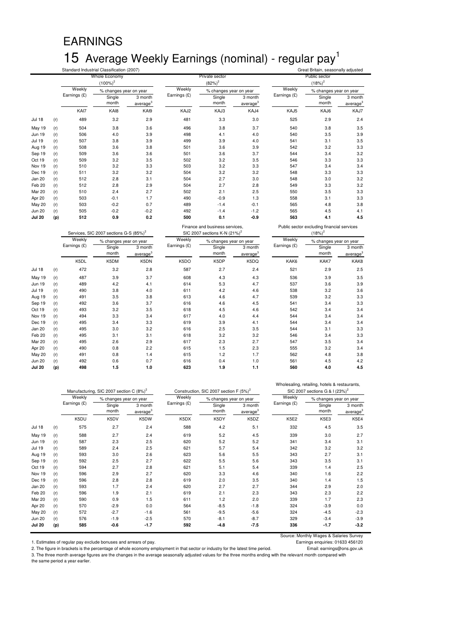### EARNINGS 15 Average Weekly Earnings (nominal) - regular pay<sup>1</sup><br>Standard Industrial Classification (2007) Standard Industrial Classification (2007) Great Britain, seasonally adjusted

|               |     | Whole Economy |                                                    |                                 | Private sector |                                          |                                 | Public sector |                                            |                                 |
|---------------|-----|---------------|----------------------------------------------------|---------------------------------|----------------|------------------------------------------|---------------------------------|---------------|--------------------------------------------|---------------------------------|
|               |     |               | $(100\%)^2$                                        |                                 |                | $(82%)^2$                                |                                 |               | $(18%)^2$                                  |                                 |
|               |     | Weekly        | % changes year on year                             |                                 | Weekly         | % changes year on year                   |                                 | Weekly        | % changes year on year                     |                                 |
|               |     | Earnings (£)  | Single<br>month                                    | 3 month<br>average <sup>3</sup> | Earnings (£)   | Single<br>month                          | 3 month<br>average <sup>3</sup> | Earnings (£)  | Single<br>month                            | 3 month<br>average <sup>3</sup> |
|               |     | KAI7          | KA <sub>I8</sub>                                   | KAI9                            | KAJ2           | KAJ3                                     | KAJ4                            | KAJ5          | KAJ6                                       | KAJ7                            |
| <b>Jul 18</b> | (r) | 489           | 3.2                                                | 2.9                             | 481            | 3.3                                      | 3.0                             | 525           | 2.9                                        | 2.4                             |
| May 19        | (r) | 504           | 3.8                                                | 3.6                             | 496            | 3.8                                      | 3.7                             | 540           | 3.8                                        | 3.5                             |
| <b>Jun 19</b> | (r) | 506           | 4.0                                                | 3.9                             | 498            | 4.1                                      | 4.0                             | 540           | 3.5                                        | 3.9                             |
| <b>Jul 19</b> | (r) | 507           | 3.8                                                | 3.9                             | 499            | 3.9                                      | 4.0                             | 541           | 3.1                                        | 3.5                             |
| Aug 19        | (r) | 508           | 3.6                                                | 3.8                             | 501            | 3.6                                      | 3.9                             | 542           | 3.2                                        | 3.3                             |
| Sep 19        | (r) | 509           | 3.6                                                | 3.6                             | 501            | 3.6                                      | 3.7                             | 544           | 3.4                                        | 3.2                             |
| Oct 19        | (r) | 509           | 3.2                                                | 3.5                             | 502            | 3.2                                      | 3.5                             | 546           | 3.3                                        | 3.3                             |
| Nov 19        | (r) | 510           | 3.2                                                | 3.3                             | 503            | 3.2                                      | 3.3                             | 547           | 3.4                                        | 3.4                             |
| Dec 19        | (r) | 511           | 3.2                                                | 3.2                             | 504            | 3.2                                      | 3.2                             | 548           | 3.3                                        | 3.3                             |
| Jan 20        | (r) | 512           | 2.8                                                | 3.1                             | 504            | 2.7                                      | 3.0                             | 548           | 3.0                                        | 3.2                             |
| Feb 20        | (r) | 512           | 2.8                                                | 2.9                             | 504            | 2.7                                      | 2.8                             | 549           | 3.3                                        | 3.2                             |
| Mar 20        | (r) | 510           | 2.4                                                | 2.7                             | 502            | 2.1                                      | 2.5                             | 550           | 3.5                                        | 3.3                             |
| Apr 20        | (r) | 503           | $-0.1$                                             | 1.7                             | 490            | $-0.9$                                   | 1.3                             | 558           | 3.1                                        | 3.3                             |
| <b>May 20</b> | (r) | 503           | $-0.2$                                             | 0.7                             | 489            | $-1.4$                                   | $-0.1$                          | 565           | 4.8                                        | 3.8                             |
| <b>Jun 20</b> | (r) | 505           | $-0.2$                                             | $-0.2$                          | 492            | $-1.4$                                   | $-1.2$                          | 565           | 4.5                                        | 4.1                             |
| <b>Jul 20</b> | (p) | 512           | 0.9                                                | 0.2                             | 500            | 0.1                                      | $-0.9$                          | 563           | 4.1                                        | 4.5                             |
|               |     |               |                                                    |                                 |                | Finance and business services,           |                                 |               | Public sector excluding financial services |                                 |
|               |     |               | Services, SIC 2007 sections G-S (85%) <sup>2</sup> |                                 |                | SIC 2007 sections K-N (21%) <sup>2</sup> |                                 |               | $(18%)^2$                                  |                                 |
|               |     | Weekly        | % changes year on year                             |                                 | Weekly         | % changes year on year                   |                                 | Weekly        | % changes year on year                     |                                 |
|               |     | Earnings (£)  | Single                                             | 3 month                         | Earnings (£)   | Single                                   | 3 month                         | Earnings (£)  | Single                                     | 3 month                         |
|               |     |               | month                                              | average                         |                | month                                    | average <sup>3</sup>            |               | month                                      | average <sup>3</sup>            |
|               |     | K5DL          | K5DM                                               | K5DN                            | K5DO           | K5DP                                     | K5DQ                            | KAK6          | KAK7                                       | KAK8                            |
| <b>Jul 18</b> | (r) | 472           | 3.2                                                | 2.8                             | 587            | 2.7                                      | 2.4                             | 521           | 2.9                                        | 2.5                             |
| May 19        | (r) | 487           | 3.9                                                | 3.7                             | 608            | 4.3                                      | 4.3                             | 536           | 3.9                                        | 3.5                             |
| Jun 19        | (r) | 489           | 4.2                                                | 4.1                             | 614            | 5.3                                      | 4.7                             | 537           | 3.6                                        | 3.9                             |
| <b>Jul 19</b> | (r) | 490           | 3.8                                                | 4.0                             | 611            | 4.2                                      | 4.6                             | 538           | 3.2                                        | 3.6                             |
| Aug 19        | (r) | 491           | 3.5                                                | 3.8                             | 613            | 4.6                                      | 4.7                             | 539           | 3.2                                        | 3.3                             |
| Sep 19        | (r) | 492           | 3.6                                                | 3.7                             | 616            | 4.6                                      | 4.5                             | 541           | 3.4                                        | 3.3                             |
| Oct 19        | (r) | 493           | 3.2                                                | 3.5                             | 618            | 4.5                                      | 4.6                             | 542           | 3.4                                        | 3.4                             |
| Nov 19        | (r) | 494           | 3.3                                                | 3.4                             | 617            | 4.0                                      | 4.4                             | 544           | 3.4                                        | 3.4                             |
| Dec 19        | (r) | 495           | 3.4                                                | 3.3                             | 619            | 3.9                                      | 4.1                             | 544           | 3.4                                        | 3.4                             |
| <b>Jan 20</b> | (r) | 495           | 3.0                                                | 3.2                             | 616            | 2.5                                      | 3.5                             | 544           | 3.1                                        | 3.3                             |
| Feb 20        | (r) | 495           | 3.1                                                | 3.1                             | 618            | 3.2                                      | 3.2                             | 546           | 3.4                                        | 3.3                             |
| Mar 20        | (r) | 495           | 2.6                                                | 2.9                             | 617            | 2.3                                      | 2.7                             | 547           | 3.5                                        | 3.4                             |
| Apr 20        | (r) | 490           | 0.8                                                | 2.2                             | 615            | 1.5                                      | 2.3                             | 555           | 3.2                                        | 3.4                             |
| <b>May 20</b> | (r) | 491           | 0.8                                                | 1.4                             | 615            | 1.2                                      | 1.7                             | 562           | 4.8                                        | 3.8                             |
| <b>Jun 20</b> | (r) | 492           | 0.6                                                | 0.7                             | 616            | 0.4                                      | 1.0                             | 561           | 4.5                                        | 4.2                             |
| <b>Jul 20</b> | (p) | 498           | 1.5                                                | 1.0                             | 623            | 1.9                                      | 1.1                             | 560           | 4.0                                        | 4.5                             |

|               |     |              | Manufacturing, SIC 2007 section C (8%) <sup>2</sup> |                                 |              | Construction, SIC 2007 section F (5%) <sup>2</sup> |                                 | Wholesaling, retailing, hotels & restaurants,<br>SIC 2007 sections G & I (23%) <sup>2</sup> |                        |                                 |
|---------------|-----|--------------|-----------------------------------------------------|---------------------------------|--------------|----------------------------------------------------|---------------------------------|---------------------------------------------------------------------------------------------|------------------------|---------------------------------|
|               |     | Weekly       | % changes year on year                              |                                 | Weekly       | % changes year on year                             |                                 | Weekly                                                                                      | % changes year on year |                                 |
|               |     | Earnings (£) | Single<br>month                                     | 3 month<br>average <sup>3</sup> | Earnings (£) | Single<br>month                                    | 3 month<br>average <sup>3</sup> | Earnings (£)                                                                                | Single<br>month        | 3 month<br>average <sup>3</sup> |
|               |     | K5DU         | K5DV                                                | K5DW                            | K5DX         | K5DY                                               | K5DZ                            | <b>K5E2</b>                                                                                 | K5E3                   | K5E4                            |
| <b>Jul 18</b> | (r) | 575          | 2.7                                                 | 2.4                             | 588          | 4.2                                                | 5.1                             | 332                                                                                         | 4.5                    | 3.5                             |
| May 19        | (r) | 588          | 2.7                                                 | 2.4                             | 619          | 5.2                                                | 4.5                             | 339                                                                                         | 3.0                    | 2.7                             |
| <b>Jun 19</b> | (r) | 587          | 2.3                                                 | 2.5                             | 620          | 5.2                                                | 5.2                             | 341                                                                                         | 3.4                    | 3.1                             |
| <b>Jul 19</b> | (r) | 589          | 2.4                                                 | 2.5                             | 621          | 5.7                                                | 5.4                             | 342                                                                                         | 3.2                    | 3.2                             |
| Aug 19        | (r) | 593          | 3.0                                                 | 2.6                             | 623          | 5.6                                                | 5.5                             | 343                                                                                         | 2.7                    | 3.1                             |
| Sep 19        | (r) | 592          | 2.5                                                 | 2.7                             | 622          | 5.5                                                | 5.6                             | 343                                                                                         | 3.5                    | 3.1                             |
| Oct 19        | (r) | 594          | 2.7                                                 | 2.8                             | 621          | 5.1                                                | 5.4                             | 339                                                                                         | 1.4                    | 2.5                             |
| Nov 19        | (r) | 596          | 2.9                                                 | 2.7                             | 620          | 3.3                                                | 4.6                             | 340                                                                                         | 1.6                    | 2.2                             |
| Dec 19        | (r) | 596          | 2.8                                                 | 2.8                             | 619          | 2.0                                                | 3.5                             | 340                                                                                         | 1.4                    | 1.5                             |
| Jan 20        | (r) | 593          | 1.7                                                 | 2.4                             | 620          | 2.7                                                | 2.7                             | 344                                                                                         | 2.9                    | 2.0                             |
| Feb 20        | (r) | 596          | 1.9                                                 | 2.1                             | 619          | 2.1                                                | 2.3                             | 343                                                                                         | 2.3                    | 2.2                             |
| Mar 20        | (r) | 590          | 0.9                                                 | 1.5                             | 611          | 1.2                                                | 2.0                             | 339                                                                                         | 1.7                    | 2.3                             |
| Apr 20        | (r) | 570          | $-2.9$                                              | 0.0                             | 564          | $-8.5$                                             | $-1.8$                          | 324                                                                                         | $-3.9$                 | 0.0                             |
| <b>May 20</b> | (r) | 572          | $-2.7$                                              | $-1.6$                          | 561          | $-9.5$                                             | $-5.6$                          | 324                                                                                         | $-4.5$                 | $-2.3$                          |
| <b>Jun 20</b> | (r) | 576          | $-1.9$                                              | $-2.5$                          | 570          | $-8.1$                                             | $-8.7$                          | 329                                                                                         | $-3.4$                 | $-3.9$                          |
| <b>Jul 20</b> | (p) | 585          | $-0.6$                                              | $-1.7$                          | 592          | $-4.8$                                             | -7.5                            | 336                                                                                         | $-1.7$                 | $-3.2$                          |

1. Estimates of regular pay exclude bonuses and arrears of pay.

Source: Monthly Wages & Salaries Survey<br>Earnings enquiries: 01633 456120

2. The figure in brackets is the percentage of whole economy employment in that sector or industry for the latest time period. Email: earnings@ons.gov.uk

3. The three month average figures are the changes in the average seasonally adjusted values for the three months ending with the relevant month compared with the same period a year earlier.